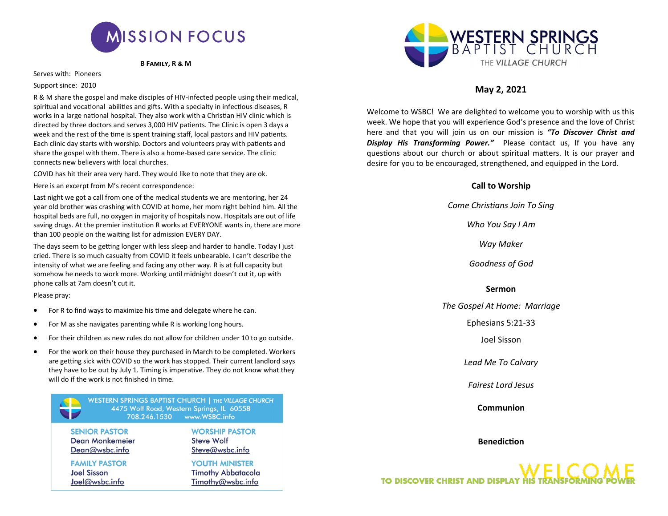

 **B Family, R & M**

Serves with: Pioneers

### Support since: 2010

R & M share the gospel and make disciples of HIV-infected people using their medical, spiritual and vocational abilities and gifts. With a specialty in infectious diseases, R works in a large national hospital. They also work with a Christian HIV clinic which is directed by three doctors and serves 3,000 HIV patients. The Clinic is open 3 days a week and the rest of the time is spent training staff, local pastors and HIV patients. Each clinic day starts with worship. Doctors and volunteers pray with patients and share the gospel with them. There is also a home-based care service. The clinic connects new believers with local churches.

COVID has hit their area very hard. They would like to note that they are ok.

Here is an excerpt from M's recent correspondence:

Last night we got a call from one of the medical students we are mentoring, her 24 year old brother was crashing with COVID at home, her mom right behind him. All the hospital beds are full, no oxygen in majority of hospitals now. Hospitals are out of life saving drugs. At the premier institution R works at EVERYONE wants in, there are more than 100 people on the waiting list for admission EVERY DAY.

The days seem to be getting longer with less sleep and harder to handle. Today I just cried. There is so much casualty from COVID it feels unbearable. I can't describe the intensity of what we are feeling and facing any other way. R is at full capacity but somehow he needs to work more. Working until midnight doesn't cut it, up with phone calls at 7am doesn't cut it.

Please pray:

- For R to find ways to maximize his time and delegate where he can.
- For M as she navigates parenting while R is working long hours.
- For their children as new rules do not allow for children under 10 to go outside.
- For the work on their house they purchased in March to be completed. Workers are getting sick with COVID so the work has stopped. Their current landlord says they have to be out by July 1. Timing is imperative. They do not know what they will do if the work is not finished in time.

WESTERN SPRINGS BAPTIST CHURCH | THE VILLAGE CHURCH 4475 Wolf Road, Western Springs, IL 60558 708.246.1530 www.WSBC.info

**WORSHIP PASTOR** 

Steve@wsbc.info

**YOUTH MINISTER** 

**Timothy Abbatacola** 

Timothy@wsbc.info

**Steve Wolf** 

**SENIOR PASTOR Dean Monkemeier** Dean@wsbc.info

**FAMILY PASTOR Joel Sisson** Joel@wsbc.info

*Goodness of God*

## **Sermon**

*The Gospel At Home: Marriage*

Ephesians 5:21-33

Joel Sisson

*Lead Me To Calvary*

*Fairest Lord Jesus*

**Communion**

**Benediction**

**TO DISCOVER CHRIST AND DISPLAY HIS TRANSFC** 



# **May 2, 2021**

Welcome to WSBC! We are delighted to welcome you to worship with us this week. We hope that you will experience God's presence and the love of Christ here and that you will join us on our mission is *"To Discover Christ and Display His Transforming Power."* Please contact us, If you have any questions about our church or about spiritual matters. It is our prayer and desire for you to be encouraged, strengthened, and equipped in the Lord.

## **Call to Worship**

*Come Christians Join To Sing*

*Who You Say I Am*

*Way Maker*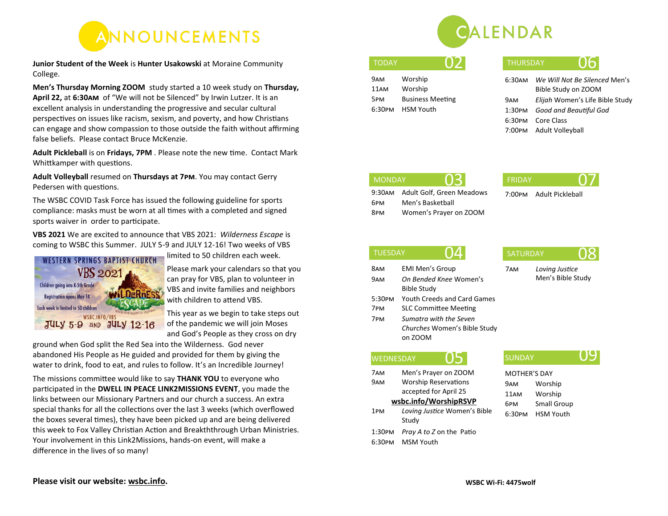

**Junior Student of the Week** is **Hunter Usakowski** at Moraine Community College.

**Men's Thursday Morning ZOOM** study started a 10 week study on **Thursday, April 22,** at **6:30am** of "We will not be Silenced" by Irwin Lutzer. It is an excellent analysis in understanding the progressive and secular cultural perspectives on issues like racism, sexism, and poverty, and how Christians can engage and show compassion to those outside the faith without affirming false beliefs. Please contact Bruce McKenzie.

**Adult Pickleball** is on **Fridays, 7PM** . Please note the new time. Contact Mark Whittkamper with questions.

**Adult Volleyball** resumed on **Thursdays at 7pm**. You may contact Gerry Pedersen with questions.

The WSBC COVID Task Force has issued the following guideline for sports compliance: masks must be worn at all times with a completed and signed sports waiver in order to participate.

**VBS 2021** We are excited to announce that VBS 2021: *Wilderness Escape* is coming to WSBC this Summer. JULY 5-9 and JULY 12-16! Two weeks of VBS



limited to 50 children each week.

Please mark your calendars so that you can pray for VBS, plan to volunteer in VBS and invite families and neighbors with children to attend VBS.

This year as we begin to take steps out of the pandemic we will join Moses and God's People as they cross on dry

ground when God split the Red Sea into the Wilderness. God never abandoned His People as He guided and provided for them by giving the water to drink, food to eat, and rules to follow. It's an Incredible Journey!

The missions committee would like to say **THANK YOU** to everyone who participated in the **DWELL IN PEACE LINK2MISSIONS EVENT**, you made the links between our Missionary Partners and our church a success. An extra special thanks for all the collections over the last 3 weeks (which overflowed the boxes several times), they have been picked up and are being delivered this week to Fox Valley Christian Action and Breakththrough Urban Ministries. Your involvement in this Link2Missions, hands-on event, will make a difference in the lives of so many!



| DAY) |  | O. |  |
|------|--|----|--|
|      |  |    |  |
|      |  |    |  |

| 9AM              | Worship                 |
|------------------|-------------------------|
| 11 <sub>AM</sub> | Worship                 |
| 5PM              | <b>Business Meeting</b> |
| 6:30PM           | HSM Youth               |

| TODAY | <b>THURSDAY</b> |  |
|-------|-----------------|--|
|       |                 |  |

| 6:30ам | We Will Not Be Silenced Men's   |
|--------|---------------------------------|
|        | Bible Study on ZOOM             |
| 9ам    | Elijah Women's Life Bible Study |
| 1:30рм | Good and Beautiful God          |
|        | 6:30PM Core Class               |
|        | 7:00PM Adult Volleyball         |

6pm Men's Basketball

9:30am Adult Golf, Green Meadows

8pm Women's Prayer on ZOOM

| <b>MONDAY</b> |                 | FRIDA\ |  |
|---------------|-----------------|--------|--|
|               | <b>Contract</b> |        |  |

7:00pm Adult Pickleball

## TUESDAY  $\cap$   $\Delta$

8am EMI Men's Group 9am *On Bended Knee* Women's Bible Study 5:30pm Youth Creeds and Card Games 7pm SLC Committee Meeting 7pm *Sumatra with the Seven Churches* Women's Bible Study on ZOOM

## **WEDNESDAY**

7am Men's Prayer on ZOOM 9am Worship Reservations accepted for April 25 **[wsbc.info/WorshipRSVP](https://wsbc.info/worshiprsvp/)** 1pm *Loving Justice* Women's Bible Study 1:30pm *Pray A to Z* on the Patio

6:30pm MSM Youth

# SATURDAY **08**

# 7am *Loving Justice*

Men's Bible Study

SUNDAY  $\rm O9$ 

MOTHER'S DAY 9am Worship 11am Worship 6pm Small Group 6:30pm HSM Youth